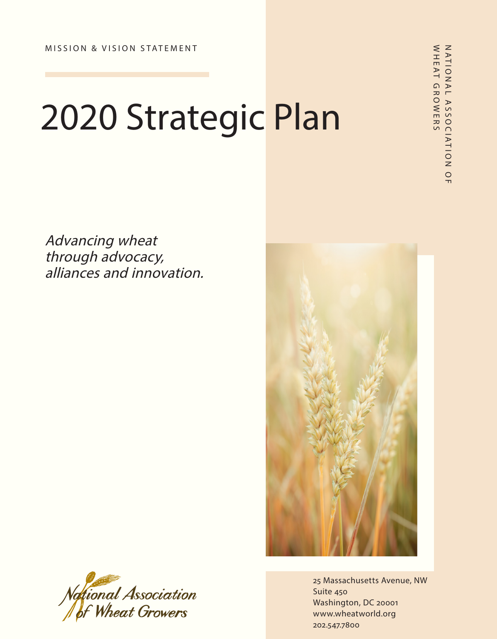# 2020 Strategic Plan

Advancing wheat through advocacy, alliances and innovation.





25 Massachusetts Avenue, NW Suite 450 Washington, DC 20001 www.wheatworld.org 202.547.7800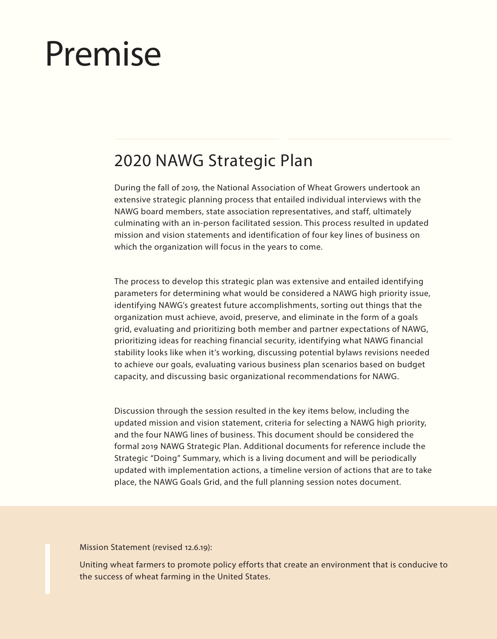### Premise

### 2020 NAWG Strategic Plan

During the fall of 2019, the National Association of Wheat Growers undertook an extensive strategic planning process that entailed individual interviews with the NAWG board members, state association representatives, and staff, ultimately culminating with an in-person facilitated session. This process resulted in updated mission and vision statements and identification of four key lines of business on which the organization will focus in the years to come.

The process to develop this strategic plan was extensive and entailed identifying parameters for determining what would be considered a NAWG high priority issue, identifying NAWG's greatest future accomplishments, sorting out things that the organization must achieve, avoid, preserve, and eliminate in the form of a goals grid, evaluating and prioritizing both member and partner expectations of NAWG, prioritizing ideas for reaching financial security, identifying what NAWG financial stability looks like when it's working, discussing potential bylaws revisions needed to achieve our goals, evaluating various business plan scenarios based on budget capacity, and discussing basic organizational recommendations for NAWG.

Discussion through the session resulted in the key items below, including the updated mission and vision statement, criteria for selecting a NAWG high priority, and the four NAWG lines of business. This document should be considered the formal 2019 NAWG Strategic Plan. Additional documents for reference include the Strategic "Doing" Summary, which is a living document and will be periodically updated with implementation actions, a timeline version of actions that are to take place, the NAWG Goals Grid, and the full planning session notes document.

Mission Statement (revised 12.6.19):

Uniting wheat farmers to promote policy efforts that create an environment that is conducive to the success of wheat farming in the United States.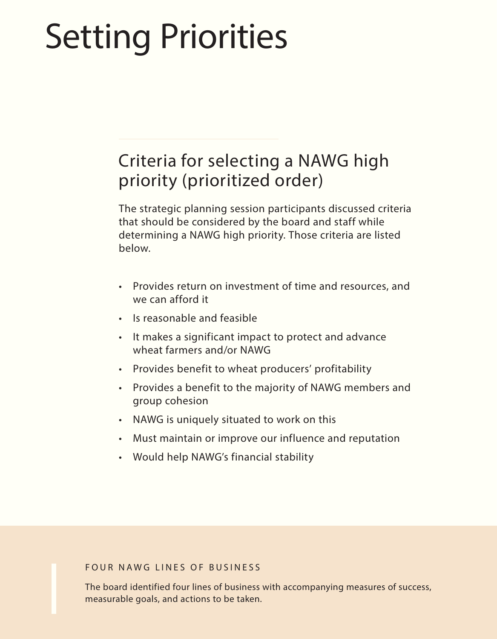## Setting Priorities

### Criteria for selecting a NAWG high priority (prioritized order)

The strategic planning session participants discussed criteria that should be considered by the board and staff while determining a NAWG high priority. Those criteria are listed below.

- Provides return on investment of time and resources, and we can afford it
- Is reasonable and feasible
- It makes a significant impact to protect and advance wheat farmers and/or NAWG
- Provides benefit to wheat producers' profitability
- Provides a benefit to the majority of NAWG members and group cohesion
- NAWG is uniquely situated to work on this
- Must maintain or improve our influence and reputation
- Would help NAWG's financial stability

### FOUR NAWG LINES OF BUSINESS

The board identified four lines of business with accompanying measures of success, measurable goals, and actions to be taken.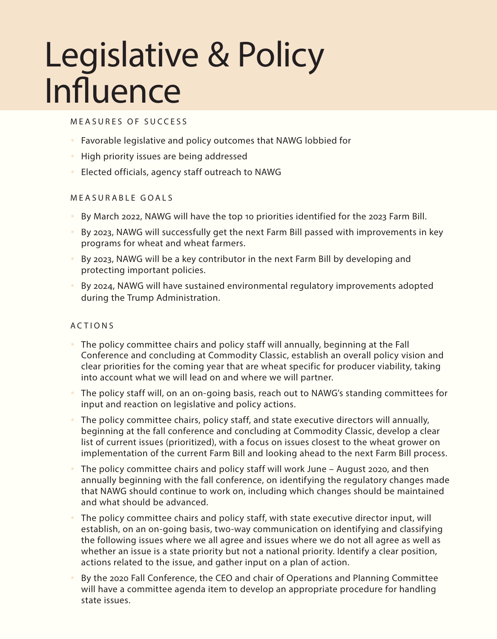### Legislative & Policy Influence

### MEASURES OF SUCCESS

- Favorable legislative and policy outcomes that NAWG lobbied for
- High priority issues are being addressed
- Elected officials, agency staff outreach to NAWG

### MEASURABLE GOALS

- By March 2022, NAWG will have the top 10 priorities identified for the 2023 Farm Bill.
- By 2023, NAWG will successfully get the next Farm Bill passed with improvements in key programs for wheat and wheat farmers.
- By 2023, NAWG will be a key contributor in the next Farm Bill by developing and protecting important policies.
- By 2024, NAWG will have sustained environmental regulatory improvements adopted during the Trump Administration.

- The policy committee chairs and policy staff will annually, beginning at the Fall Conference and concluding at Commodity Classic, establish an overall policy vision and clear priorities for the coming year that are wheat specific for producer viability, taking into account what we will lead on and where we will partner.
- The policy staff will, on an on-going basis, reach out to NAWG's standing committees for input and reaction on legislative and policy actions.
- The policy committee chairs, policy staff, and state executive directors will annually, beginning at the fall conference and concluding at Commodity Classic, develop a clear list of current issues (prioritized), with a focus on issues closest to the wheat grower on implementation of the current Farm Bill and looking ahead to the next Farm Bill process.
- The policy committee chairs and policy staff will work June August 2020, and then annually beginning with the fall conference, on identifying the regulatory changes made that NAWG should continue to work on, including which changes should be maintained and what should be advanced.
- The policy committee chairs and policy staff, with state executive director input, will establish, on an on-going basis, two-way communication on identifying and classifying the following issues where we all agree and issues where we do not all agree as well as whether an issue is a state priority but not a national priority. Identify a clear position, actions related to the issue, and gather input on a plan of action.
- By the 2020 Fall Conference, the CEO and chair of Operations and Planning Committee will have a committee agenda item to develop an appropriate procedure for handling state issues.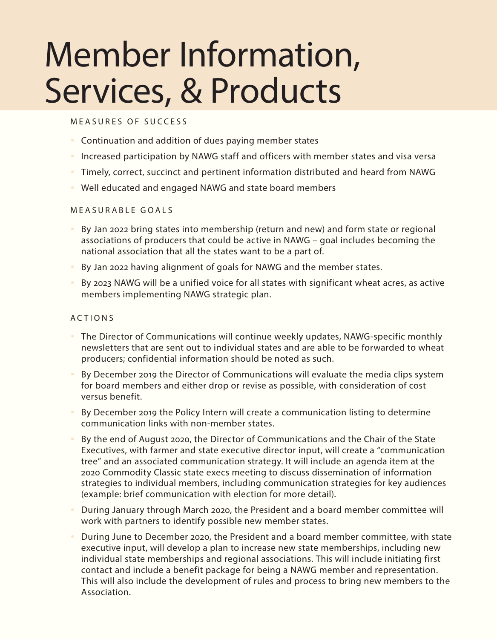### Member Information, Services, & Products

### MEASURES OF SUCCESS

- Continuation and addition of dues paying member states
- Increased participation by NAWG staff and officers with member states and visa versa
- Timely, correct, succinct and pertinent information distributed and heard from NAWG
- Well educated and engaged NAWG and state board members

#### MEASURABLE GOALS

- By Jan 2022 bring states into membership (return and new) and form state or regional associations of producers that could be active in NAWG – goal includes becoming the national association that all the states want to be a part of.
- By Jan 2022 having alignment of goals for NAWG and the member states.
- By 2023 NAWG will be a unified voice for all states with significant wheat acres, as active members implementing NAWG strategic plan.

- The Director of Communications will continue weekly updates, NAWG-specific monthly newsletters that are sent out to individual states and are able to be forwarded to wheat producers; confidential information should be noted as such.
- By December 2019 the Director of Communications will evaluate the media clips system for board members and either drop or revise as possible, with consideration of cost versus benefit.
- By December 2019 the Policy Intern will create a communication listing to determine communication links with non-member states.
- By the end of August 2020, the Director of Communications and the Chair of the State Executives, with farmer and state executive director input, will create a "communication tree" and an associated communication strategy. It will include an agenda item at the 2020 Commodity Classic state execs meeting to discuss dissemination of information strategies to individual members, including communication strategies for key audiences (example: brief communication with election for more detail).
- During January through March 2020, the President and a board member committee will work with partners to identify possible new member states.
- During June to December 2020, the President and a board member committee, with state executive input, will develop a plan to increase new state memberships, including new individual state memberships and regional associations. This will include initiating first contact and include a benefit package for being a NAWG member and representation. This will also include the development of rules and process to bring new members to the Association.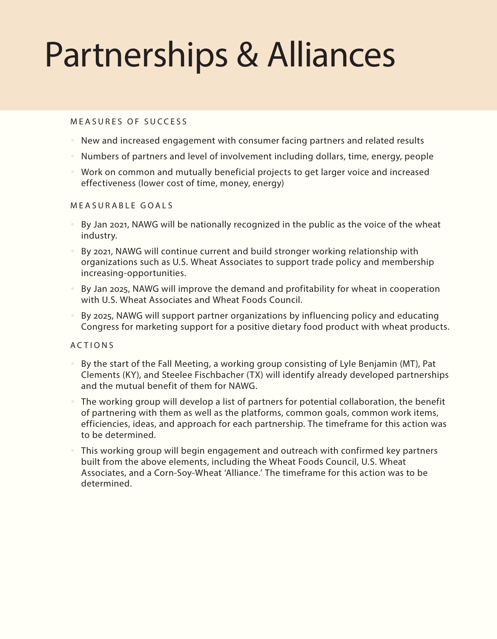## Partnerships & Alliances

#### MEASURES OF SUCCESS

- New and increased engagement with consumer facing partners and related results
- Numbers of partners and level of involvement including dollars, time, energy, people
- Work on common and mutually beneficial projects to get larger voice and increased effectiveness (lower cost of time, money, energy)

#### MEASURABLE GOALS

- By Jan 2021, NAWG will be nationally recognized in the public as the voice of the wheat industry.
- By 2021, NAWG will continue current and build stronger working relationship with organizations such as U.S. Wheat Associates to support trade policy and membership increasing-opportunities.
- By Jan 2025, NAWG will improve the demand and profitability for wheat in cooperation with U.S. Wheat Associates and Wheat Foods Council.
- By 2025, NAWG will support partner organizations by influencing policy and educating Congress for marketing support for a positive dietary food product with wheat products.

- By the start of the Fall Meeting, a working group consisting of Lyle Benjamin (MT), Pat Clements (KY), and Steelee Fischbacher (TX) will identify already developed partnerships and the mutual benefit of them for NAWG.
- The working group will develop a list of partners for potential collaboration, the benefit of partnering with them as well as the platforms, common goals, common work items, efficiencies, ideas, and approach for each partnership. The timeframe for this action was to be determined.
- This working group will begin engagement and outreach with confirmed key partners built from the above elements, including the Wheat Foods Council, U.S. Wheat Associates, and a Corn-Soy-Wheat 'Alliance.' The timeframe for this action was to be determined.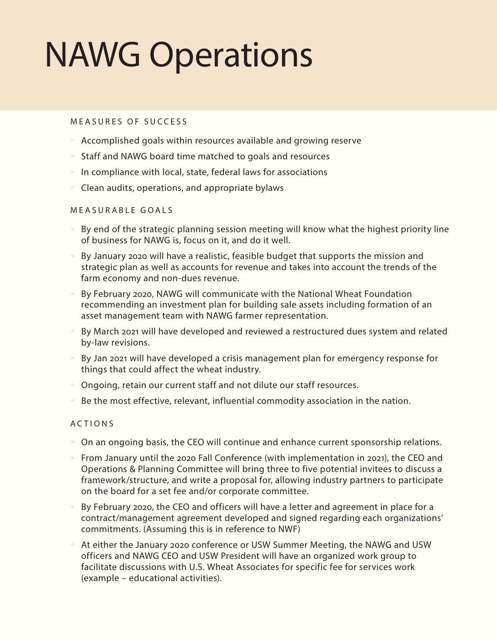# NAWG Operations

### MEASURES OF SUCCESS

- Accomplished goals within resources available and growing reserve
- Staff and NAWG board time matched to goals and resources
- In compliance with local, state, federal laws for associations
- Clean audits, operations, and appropriate bylaws

#### MEASURABLE GOALS

- By end of the strategic planning session meeting will know what the highest priority line of business for NAWG is, focus on it, and do it well.
- By January 2020 will have a realistic, feasible budget that supports the mission and strategic plan as well as accounts for revenue and takes into account the trends of the farm economy and non-dues revenue.
- By February 2020, NAWG will communicate with the National Wheat Foundation recommending an investment plan for building sale assets including formation of an asset management team with NAWG farmer representation.
- By March 2021 will have developed and reviewed a restructured dues system and related by-law revisions.
- By Jan 2021 will have developed a crisis management plan for emergency response for things that could affect the wheat industry.
- Ongoing, retain our current staff and not dilute our staff resources.
- Be the most effective, relevant, influential commodity association in the nation.

- On an ongoing basis, the CEO will continue and enhance current sponsorship relations.
- From January until the 2020 Fall Conference (with implementation in 2021), the CEO and Operations & Planning Committee will bring three to five potential invitees to discuss a framework/structure, and write a proposal for, allowing industry partners to participate on the board for a set fee and/or corporate committee.
- By February 2020, the CEO and officers will have a letter and agreement in place for a contract/management agreement developed and signed regarding each organizations' commitments. (Assuming this is in reference to NWF)
- At either the January 2020 conference or USW Summer Meeting, the NAWG and USW officers and NAWG CEO and USW President will have an organized work group to facilitate discussions with U.S. Wheat Associates for specific fee for services work (example – educational activities).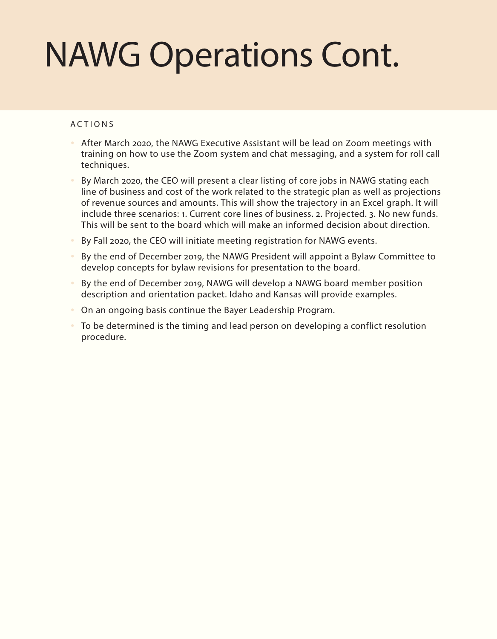# NAWG Operations Cont.

- After March 2020, the NAWG Executive Assistant will be lead on Zoom meetings with training on how to use the Zoom system and chat messaging, and a system for roll call techniques.
- By March 2020, the CEO will present a clear listing of core jobs in NAWG stating each line of business and cost of the work related to the strategic plan as well as projections of revenue sources and amounts. This will show the trajectory in an Excel graph. It will include three scenarios: 1. Current core lines of business. 2. Projected. 3. No new funds. This will be sent to the board which will make an informed decision about direction.
- By Fall 2020, the CEO will initiate meeting registration for NAWG events.
- By the end of December 2019, the NAWG President will appoint a Bylaw Committee to develop concepts for bylaw revisions for presentation to the board.
- By the end of December 2019, NAWG will develop a NAWG board member position description and orientation packet. Idaho and Kansas will provide examples.
- On an ongoing basis continue the Bayer Leadership Program.
- To be determined is the timing and lead person on developing a conflict resolution procedure.